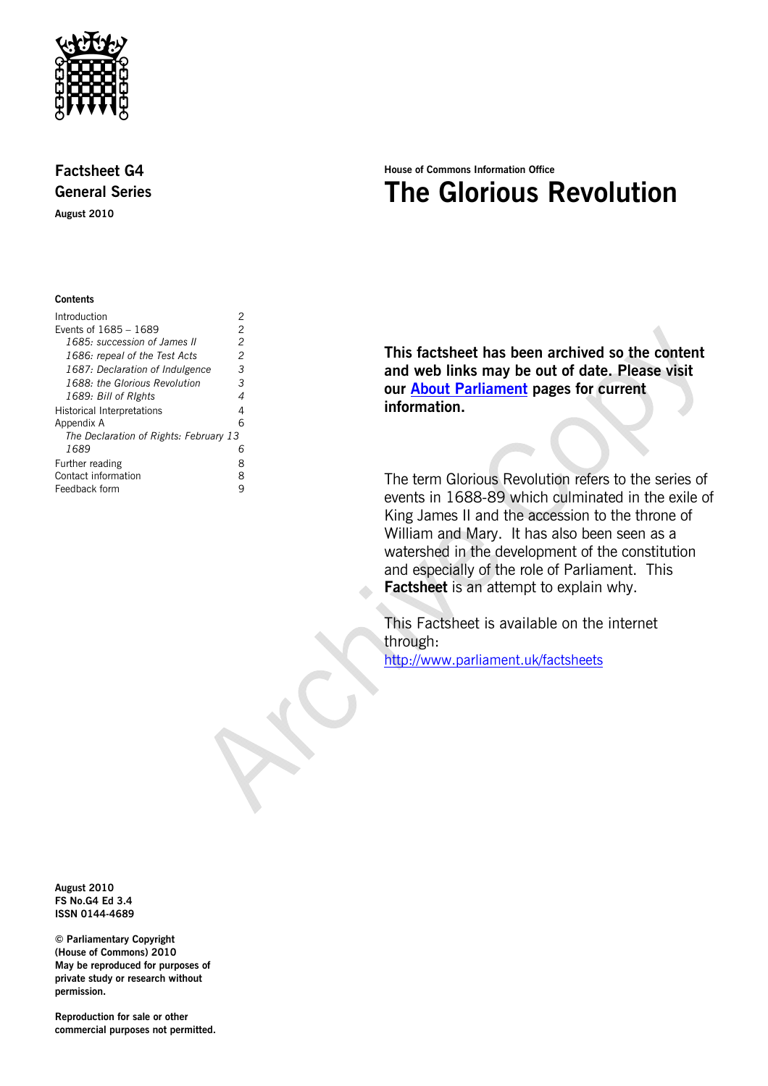

## **Factsheet G4 General Series**

**August 2010** 

#### **Contents**

| Introduction                           | 2 |
|----------------------------------------|---|
| Events of 1685 - 1689                  | 2 |
| 1685: succession of James II           | 2 |
| 1686: repeal of the Test Acts          | 2 |
| 1687: Declaration of Indulgence        | 3 |
| 1688: the Glorious Revolution          | З |
| 1689: Bill of Rights                   | 4 |
| Historical Interpretations             | 4 |
| Appendix A                             | 6 |
| The Declaration of Rights: February 13 |   |
| 1689                                   | 6 |
| Further reading                        | 8 |
| Contact information                    | 8 |
| Feedback form                          |   |
|                                        |   |

# **House of Commons Information Office The Glorious Revolution**

**This factsheet has been archived so the content and web links may be out of date. Please visit our [About Parliament](http://www.parliament.uk/about/) pages for current information.** 

The term Glorious Revolution refers to the series of events in 1688-89 which culminated in the exile of King James II and the accession to the throne of William and Mary. It has also been seen as a watershed in the development of the constitution and especially of the role of Parliament. This **Factsheet** is an attempt to explain why.

This Factsheet is available on the internet through: <http://www.parliament.uk/factsheets>

**August 2010 FS No.G4 Ed 3.4 ISSN 0144-4689** 

**© Parliamentary Copyright (House of Commons) 2010 May be reproduced for purposes of private study or research without permission.** 

**Reproduction for sale or other commercial purposes not permitted.**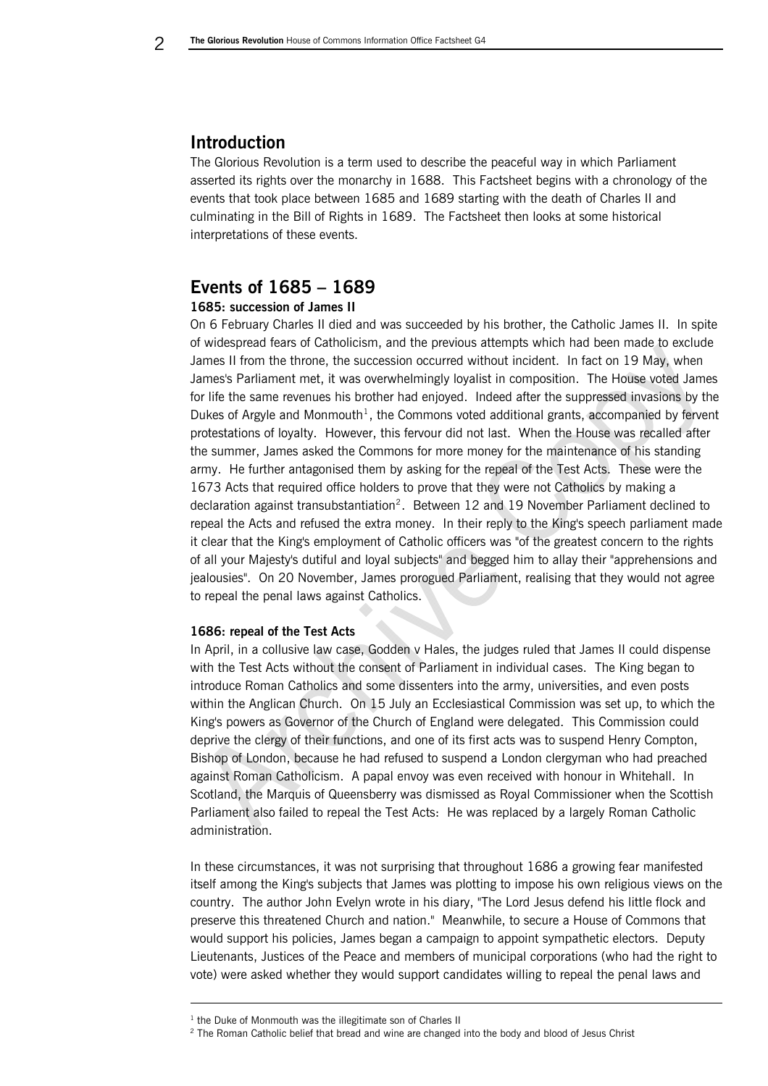### **Introduction**

The Glorious Revolution is a term used to describe the peaceful way in which Parliament asserted its rights over the monarchy in 1688. This Factsheet begins with a chronology of the events that took place between 1685 and 1689 starting with the death of Charles II and culminating in the Bill of Rights in 1689. The Factsheet then looks at some historical interpretations of these events.

### **Events of 1685 – 1689**

### **1685: succession of James II**

On 6 February Charles II died and was succeeded by his brother, the Catholic James II. In spite of widespread fears of Catholicism, and the previous attempts which had been made to exclude James II from the throne, the succession occurred without incident. In fact on 19 May, when James's Parliament met, it was overwhelmingly loyalist in composition. The House voted James for life the same revenues his brother had enjoyed. Indeed after the suppressed invasions by the Dukes of Argyle and Monmouth<sup>[1](#page-1-1)</sup>, the Commons voted additional grants, accompanied by fervent protestations of loyalty. However, this fervour did not last. When the House was recalled after the summer, James asked the Commons for more money for the maintenance of his standing army. He further antagonised them by asking for the repeal of the Test Acts. These were the 1673 Acts that required office holders to prove that they were not Catholics by making a declaration against transubstantiation<sup>[2](#page-1-2)</sup>. Between 12 and 19 November Parliament declined to repeal the Acts and refused the extra money. In their reply to the King's speech parliament made it clear that the King's employment of Catholic officers was "of the greatest concern to the rights of all your Majesty's dutiful and loyal subjects" and begged him to allay their "apprehensions and jealousies". On 20 November, James prorogued Parliament, realising that they would not agree to repeal the penal laws against Catholics.

### **1686: repeal of the Test Acts**

In April, in a collusive law case, Godden v Hales, the judges ruled that James II could dispense with the Test Acts without the consent of Parliament in individual cases. The King began to introduce Roman Catholics and some dissenters into the army, universities, and even posts within the Anglican Church. On 15 July an Ecclesiastical Commission was set up, to which the King's powers as Governor of the Church of England were delegated. This Commission could deprive the clergy of their functions, and one of its first acts was to suspend Henry Compton, Bishop of London, because he had refused to suspend a London clergyman who had preached against Roman Catholicism. A papal envoy was even received with honour in Whitehall. In Scotland, the Marquis of Queensberry was dismissed as Royal Commissioner when the Scottish Parliament also failed to repeal the Test Acts: He was replaced by a largely Roman Catholic administration.

In these circumstances, it was not surprising that throughout 1686 a growing fear manifested itself among the King's subjects that James was plotting to impose his own religious views on the country. The author John Evelyn wrote in his diary, "The Lord Jesus defend his little flock and preserve this threatened Church and nation." Meanwhile, to secure a House of Commons that would support his policies, James began a campaign to appoint sympathetic electors. Deputy Lieutenants, Justices of the Peace and members of municipal corporations (who had the right to vote) were asked whether they would support candidates willing to repeal the penal laws and

-

<span id="page-1-2"></span><span id="page-1-1"></span> $1$  the Duke of Monmouth was the illegitimate son of Charles II

 $2$  The Roman Catholic belief that bread and wine are changed into the body and blood of Jesus Christ

<span id="page-1-0"></span>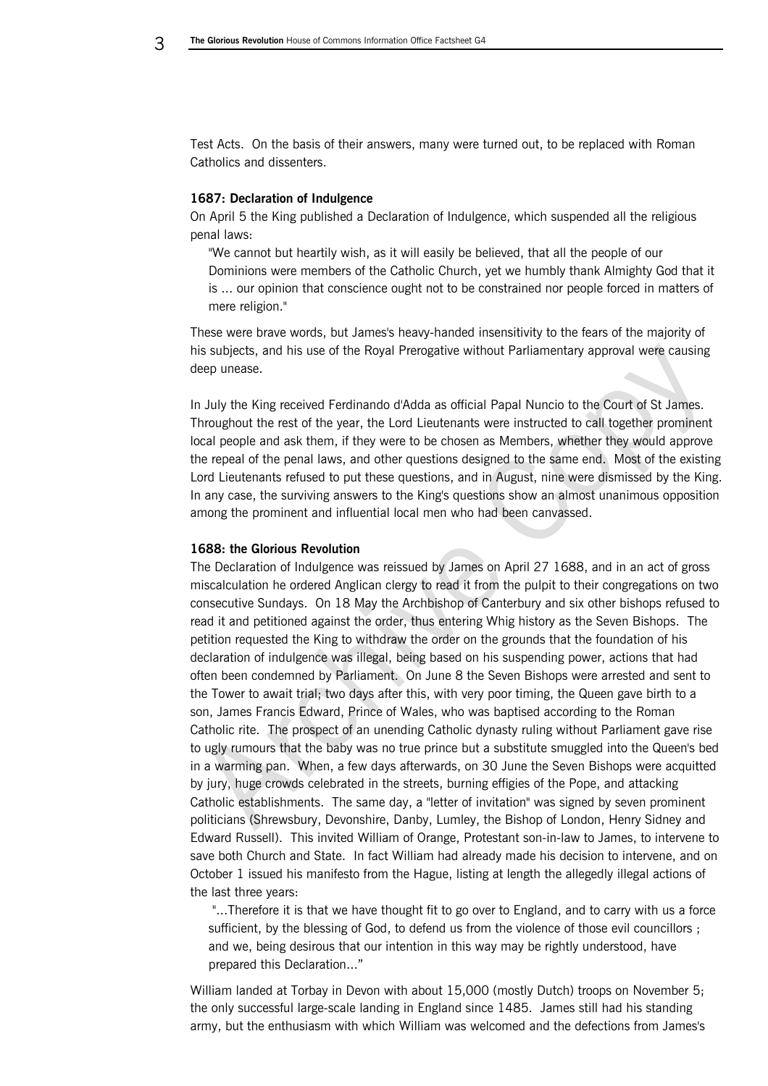Test Acts. On the basis of their answers, many were turned out, to be replaced with Roman Catholics and dissenters.

### **1687: Declaration of Indulgence**

On April 5 the King published a Declaration of Indulgence, which suspended all the religious penal laws:

"We cannot but heartily wish, as it will easily be believed, that all the people of our Dominions were members of the Catholic Church, yet we humbly thank Almighty God that it is ... our opinion that conscience ought not to be constrained nor people forced in matters of mere religion."

These were brave words, but James's heavy-handed insensitivity to the fears of the majority of his subjects, and his use of the Royal Prerogative without Parliamentary approval were causing deep unease.

In July the King received Ferdinando d'Adda as official Papal Nuncio to the Court of St James. Throughout the rest of the year, the Lord Lieutenants were instructed to call together prominent local people and ask them, if they were to be chosen as Members, whether they would approve the repeal of the penal laws, and other questions designed to the same end. Most of the existing Lord Lieutenants refused to put these questions, and in August, nine were dismissed by the King. In any case, the surviving answers to the King's questions show an almost unanimous opposition among the prominent and influential local men who had been canvassed.

#### **1688: the Glorious Revolution**

The Declaration of Indulgence was reissued by James on April 27 1688, and in an act of gross miscalculation he ordered Anglican clergy to read it from the pulpit to their congregations on two consecutive Sundays. On 18 May the Archbishop of Canterbury and six other bishops refused to read it and petitioned against the order, thus entering Whig history as the Seven Bishops. The petition requested the King to withdraw the order on the grounds that the foundation of his declaration of indulgence was illegal, being based on his suspending power, actions that had often been condemned by Parliament. On June 8 the Seven Bishops were arrested and sent to the Tower to await trial; two days after this, with very poor timing, the Queen gave birth to a son, James Francis Edward, Prince of Wales, who was baptised according to the Roman Catholic rite. The prospect of an unending Catholic dynasty ruling without Parliament gave rise to ugly rumours that the baby was no true prince but a substitute smuggled into the Queen's bed in a warming pan. When, a few days afterwards, on 30 June the Seven Bishops were acquitted by jury, huge crowds celebrated in the streets, burning effigies of the Pope, and attacking Catholic establishments. The same day, a "letter of invitation" was signed by seven prominent politicians (Shrewsbury, Devonshire, Danby, Lumley, the Bishop of London, Henry Sidney and Edward Russell). This invited William of Orange, Protestant son-in-law to James, to intervene to save both Church and State. In fact William had already made his decision to intervene, and on October 1 issued his manifesto from the Hague, listing at length the allegedly illegal actions of the last three years:

"...Therefore it is that we have thought fit to go over to England, and to carry with us a force sufficient, by the blessing of God, to defend us from the violence of those evil councillors ; and we, being desirous that our intention in this way may be rightly understood, have prepared this Declaration..."

William landed at Torbay in Devon with about 15,000 (mostly Dutch) troops on November 5; the only successful large-scale landing in England since 1485. James still had his standing army, but the enthusiasm with which William was welcomed and the defections from James's

<span id="page-2-0"></span>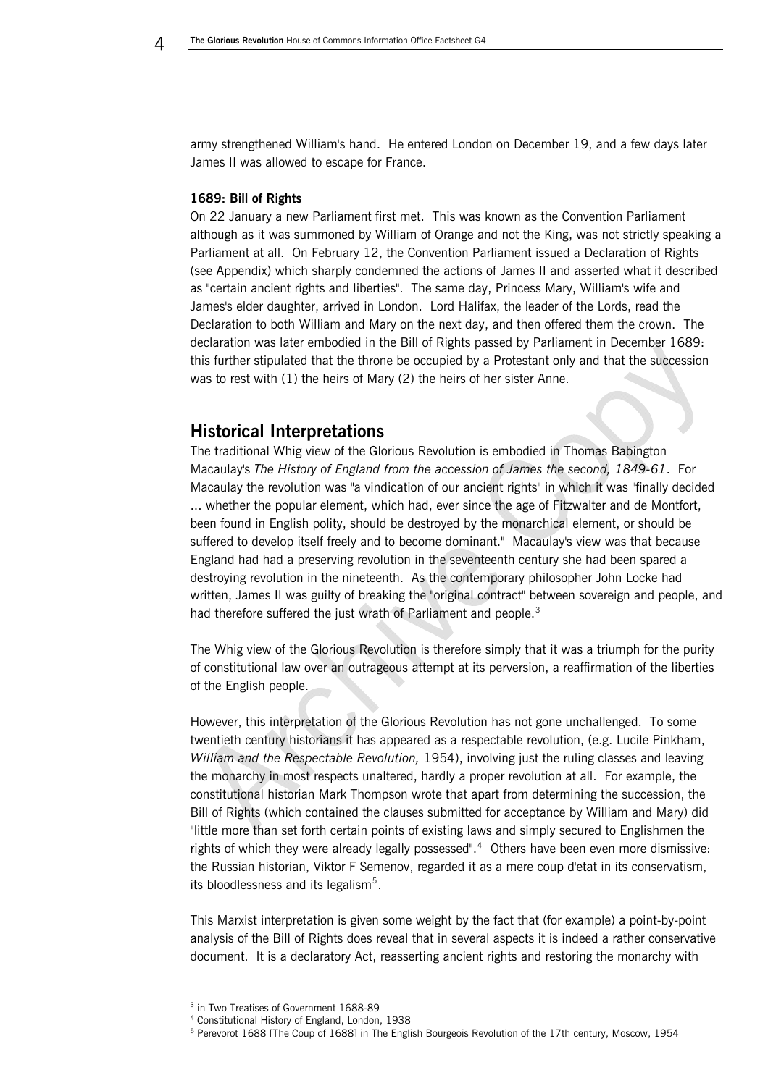<span id="page-3-0"></span>army strengthened William's hand. He entered London on December 19, and a few days later James II was allowed to escape for France.

#### **1689: Bill of Rights**

On 22 January a new Parliament first met. This was known as the Convention Parliament although as it was summoned by William of Orange and not the King, was not strictly speaking a Parliament at all. On February 12, the Convention Parliament issued a Declaration of Rights (see Appendix) which sharply condemned the actions of James II and asserted what it described as "certain ancient rights and liberties". The same day, Princess Mary, William's wife and James's elder daughter, arrived in London. Lord Halifax, the leader of the Lords, read the Declaration to both William and Mary on the next day, and then offered them the crown. The declaration was later embodied in the Bill of Rights passed by Parliament in December 1689: this further stipulated that the throne be occupied by a Protestant only and that the succession was to rest with (1) the heirs of Mary (2) the heirs of her sister Anne.

### **Historical Interpretations**

The traditional Whig view of the Glorious Revolution is embodied in Thomas Babington Macaulay's *The History of England from the accession of James the second, 1849-61*. For Macaulay the revolution was "a vindication of our ancient rights" in which it was "finally decided ... whether the popular element, which had, ever since the age of Fitzwalter and de Montfort, been found in English polity, should be destroyed by the monarchical element, or should be suffered to develop itself freely and to become dominant." Macaulay's view was that because England had had a preserving revolution in the seventeenth century she had been spared a destroying revolution in the nineteenth. As the contemporary philosopher John Locke had written, James II was guilty of breaking the "original contract" between sovereign and people, and had therefore suffered the just wrath of Parliament and people.<sup>[3](#page-3-1)</sup>

The Whig view of the Glorious Revolution is therefore simply that it was a triumph for the purity of constitutional law over an outrageous attempt at its perversion, a reaffirmation of the liberties of the English people.

However, this interpretation of the Glorious Revolution has not gone unchallenged. To some twentieth century historians it has appeared as a respectable revolution, (e.g. Lucile Pinkham, *William and the Respectable Revolution,* 1954), involving just the ruling classes and leaving the monarchy in most respects unaltered, hardly a proper revolution at all. For example, the constitutional historian Mark Thompson wrote that apart from determining the succession, the Bill of Rights (which contained the clauses submitted for acceptance by William and Mary) did "little more than set forth certain points of existing laws and simply secured to Englishmen the rights of which they were already legally possessed".<sup>[4](#page-3-2)</sup> Others have been even more dismissive: the Russian historian, Viktor F Semenov, regarded it as a mere coup d'etat in its conservatism, its bloodlessness and its legalism<sup>5</sup>.

This Marxist interpretation is given some weight by the fact that (for example) a point-by-point analysis of the Bill of Rights does reveal that in several aspects it is indeed a rather conservative document. It is a declaratory Act, reasserting ancient rights and restoring the monarchy with

-

<sup>3</sup> in Two Treatises of Government 1688-89

<span id="page-3-3"></span><span id="page-3-2"></span><span id="page-3-1"></span><sup>4</sup> Constitutional History of England, London, 1938

<sup>&</sup>lt;sup>5</sup> Perevorot 1688 [The Coup of 1688] in The English Bourgeois Revolution of the 17th century, Moscow, 1954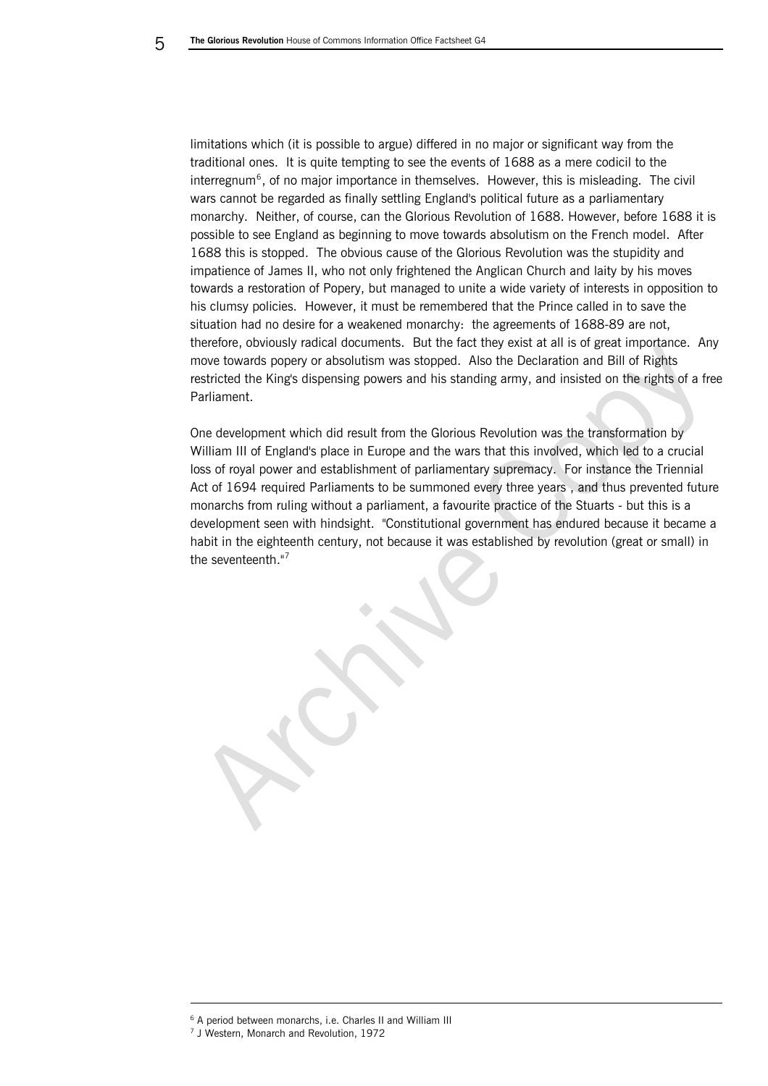limitations which (it is possible to argue) differed in no major or significant way from the traditional ones. It is quite tempting to see the events of 1688 as a mere codicil to the  $interregnum<sup>6</sup>$  $interregnum<sup>6</sup>$  $interregnum<sup>6</sup>$ , of no major importance in themselves. However, this is misleading. The civil wars cannot be regarded as finally settling England's political future as a parliamentary monarchy. Neither, of course, can the Glorious Revolution of 1688. However, before 1688 it is possible to see England as beginning to move towards absolutism on the French model. After 1688 this is stopped. The obvious cause of the Glorious Revolution was the stupidity and impatience of James II, who not only frightened the Anglican Church and laity by his moves towards a restoration of Popery, but managed to unite a wide variety of interests in opposition to his clumsy policies. However, it must be remembered that the Prince called in to save the situation had no desire for a weakened monarchy: the agreements of 1688-89 are not, therefore, obviously radical documents. But the fact they exist at all is of great importance. Any move towards popery or absolutism was stopped. Also the Declaration and Bill of Rights restricted the King's dispensing powers and his standing army, and insisted on the rights of a free Parliament.

One development which did result from the Glorious Revolution was the transformation by William III of England's place in Europe and the wars that this involved, which led to a crucial loss of royal power and establishment of parliamentary supremacy. For instance the Triennial Act of 1694 required Parliaments to be summoned every three years , and thus prevented future monarchs from ruling without a parliament, a favourite practice of the Stuarts - but this is a development seen with hindsight. "Constitutional government has endured because it became a habit in the eighteenth century, not because it was established by revolution (great or small) in the seventeenth."[7](#page-4-1)

-

<span id="page-4-1"></span><span id="page-4-0"></span><sup>&</sup>lt;sup>6</sup> A period between monarchs, i.e. Charles II and William III

<sup>7</sup> J Western, Monarch and Revolution, 1972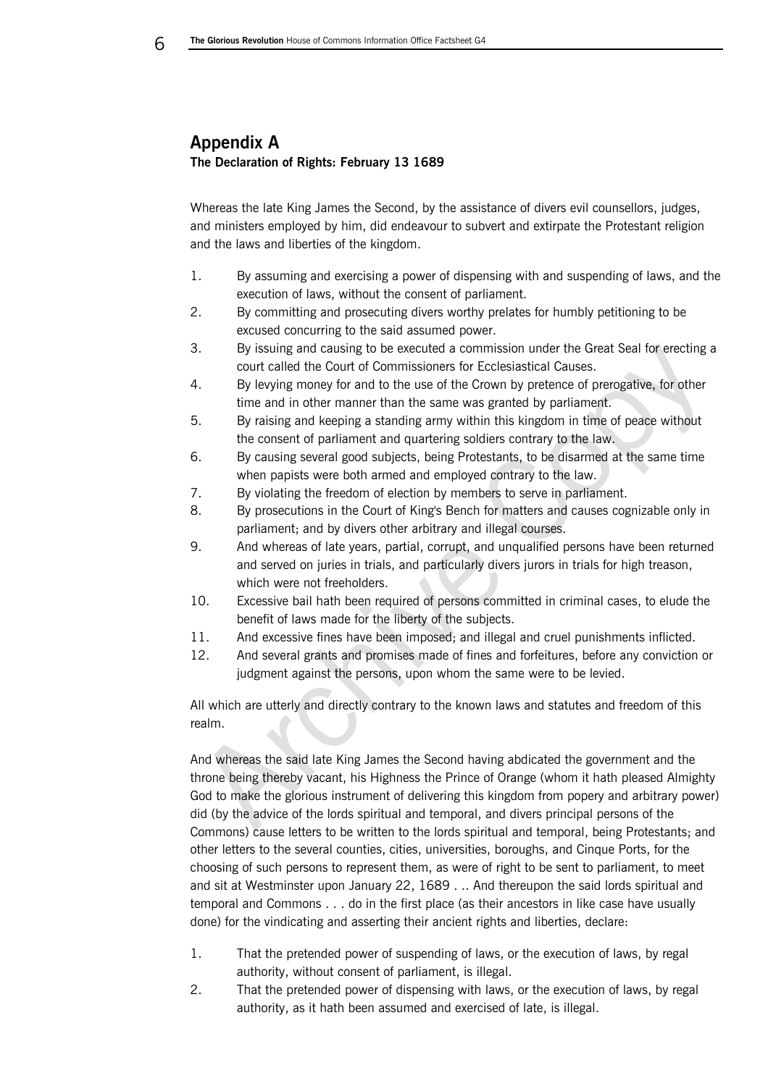## **Appendix A The Declaration of Rights: February 13 1689**

Whereas the late King James the Second, by the assistance of divers evil counsellors, judges, and ministers employed by him, did endeavour to subvert and extirpate the Protestant religion and the laws and liberties of the kingdom.

- 1. By assuming and exercising a power of dispensing with and suspending of laws, and the execution of laws, without the consent of parliament.
- 2. By committing and prosecuting divers worthy prelates for humbly petitioning to be excused concurring to the said assumed power.
- 3. By issuing and causing to be executed a commission under the Great Seal for erecting a court called the Court of Commissioners for Ecclesiastical Causes.
- 4. By levying money for and to the use of the Crown by pretence of prerogative, for other time and in other manner than the same was granted by parliament.
- 5. By raising and keeping a standing army within this kingdom in time of peace without the consent of parliament and quartering soldiers contrary to the law.
- 6. By causing several good subjects, being Protestants, to be disarmed at the same time when papists were both armed and employed contrary to the law.
- 7. By violating the freedom of election by members to serve in parliament.
- 8. By prosecutions in the Court of King's Bench for matters and causes cognizable only in parliament; and by divers other arbitrary and illegal courses.
- 9. And whereas of late years, partial, corrupt, and unqualified persons have been returned and served on juries in trials, and particularly divers jurors in trials for high treason, which were not freeholders.
- 10. Excessive bail hath been required of persons committed in criminal cases, to elude the benefit of laws made for the liberty of the subjects.
- 11. And excessive fines have been imposed; and illegal and cruel punishments inflicted.
- 12. And several grants and promises made of fines and forfeitures, before any conviction or judgment against the persons, upon whom the same were to be levied.

All which are utterly and directly contrary to the known laws and statutes and freedom of this realm.

And whereas the said late King James the Second having abdicated the government and the throne being thereby vacant, his Highness the Prince of Orange (whom it hath pleased Almighty God to make the glorious instrument of delivering this kingdom from popery and arbitrary power) did (by the advice of the lords spiritual and temporal, and divers principal persons of the Commons) cause letters to be written to the lords spiritual and temporal, being Protestants; and other letters to the several counties, cities, universities, boroughs, and Cinque Ports, for the choosing of such persons to represent them, as were of right to be sent to parliament, to meet and sit at Westminster upon January 22, 1689 . .. And thereupon the said lords spiritual and temporal and Commons . . . do in the first place (as their ancestors in like case have usually done) for the vindicating and asserting their ancient rights and liberties, declare:

- 1. That the pretended power of suspending of laws, or the execution of laws, by regal authority, without consent of parliament, is illegal.
- 2. That the pretended power of dispensing with laws, or the execution of laws, by regal authority, as it hath been assumed and exercised of late, is illegal.

<span id="page-5-0"></span>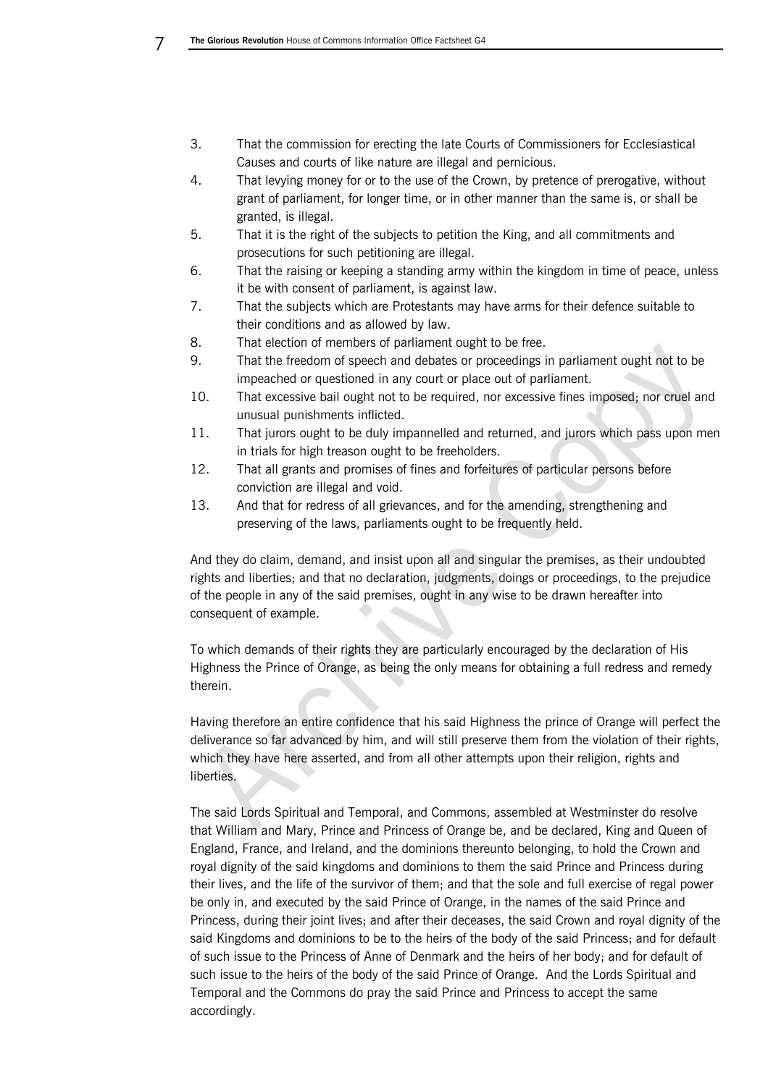- 3. That the commission for erecting the late Courts of Commissioners for Ecclesiastical Causes and courts of like nature are illegal and pernicious.
- 4. That levying money for or to the use of the Crown, by pretence of prerogative, without grant of parliament, for longer time, or in other manner than the same is, or shall be granted, is illegal.
- 5. That it is the right of the subjects to petition the King, and all commitments and prosecutions for such petitioning are illegal.
- 6. That the raising or keeping a standing army within the kingdom in time of peace, unless it be with consent of parliament, is against law.
- 7. That the subjects which are Protestants may have arms for their defence suitable to their conditions and as allowed by law.
- 8. That election of members of parliament ought to be free.
- 9. That the freedom of speech and debates or proceedings in parliament ought not to be impeached or questioned in any court or place out of parliament.
- 10. That excessive bail ought not to be required, nor excessive fines imposed; nor cruel and unusual punishments inflicted.
- 11. That jurors ought to be duly impannelled and returned, and jurors which pass upon men in trials for high treason ought to be freeholders.
- 12. That all grants and promises of fines and forfeitures of particular persons before conviction are illegal and void.
- 13. And that for redress of all grievances, and for the amending, strengthening and preserving of the laws, parliaments ought to be frequently held.

And they do claim, demand, and insist upon all and singular the premises, as their undoubted rights and liberties; and that no declaration, judgments, doings or proceedings, to the prejudice of the people in any of the said premises, ought in any wise to be drawn hereafter into consequent of example.

To which demands of their rights they are particularly encouraged by the declaration of His Highness the Prince of Orange, as being the only means for obtaining a full redress and remedy therein.

Having therefore an entire confidence that his said Highness the prince of Orange will perfect the deliverance so far advanced by him, and will still preserve them from the violation of their rights, which they have here asserted, and from all other attempts upon their religion, rights and liberties.

The said Lords Spiritual and Temporal, and Commons, assembled at Westminster do resolve that William and Mary, Prince and Princess of Orange be, and be declared, King and Queen of England, France, and Ireland, and the dominions thereunto belonging, to hold the Crown and royal dignity of the said kingdoms and dominions to them the said Prince and Princess during their lives, and the life of the survivor of them; and that the sole and full exercise of regal power be only in, and executed by the said Prince of Orange, in the names of the said Prince and Princess, during their joint lives; and after their deceases, the said Crown and royal dignity of the said Kingdoms and dominions to be to the heirs of the body of the said Princess; and for default of such issue to the Princess of Anne of Denmark and the heirs of her body; and for default of such issue to the heirs of the body of the said Prince of Orange. And the Lords Spiritual and Temporal and the Commons do pray the said Prince and Princess to accept the same accordingly.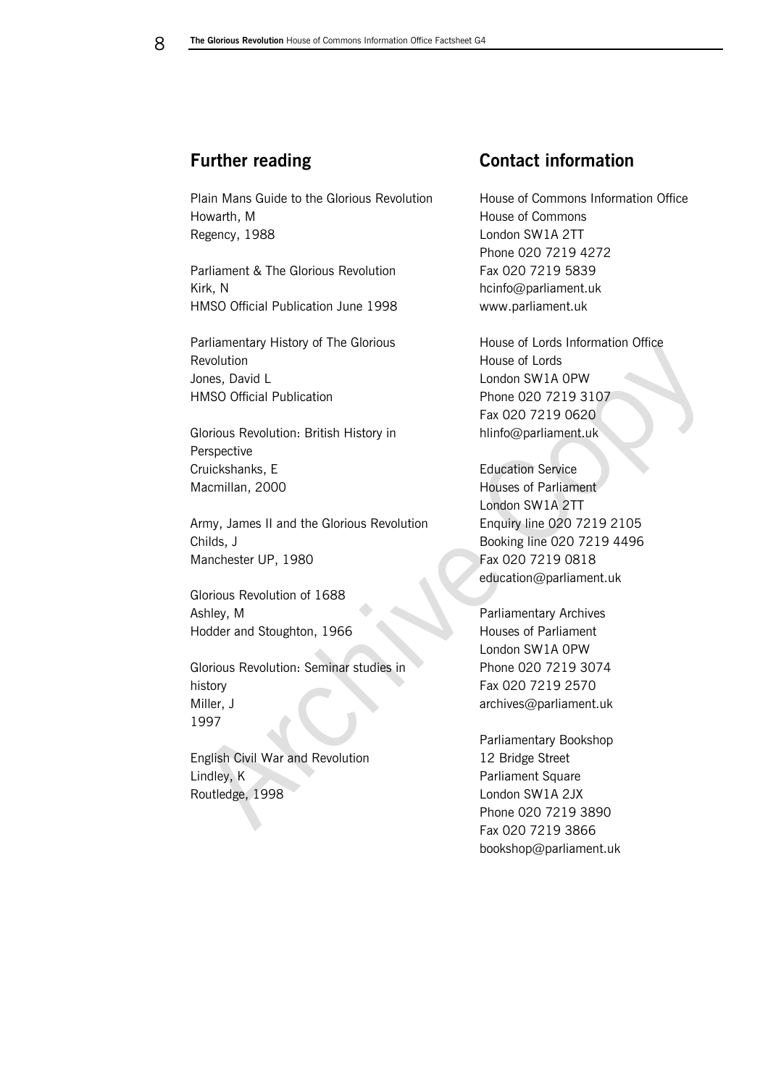## **Further reading**

Plain Mans Guide to the Glorious Revolution Howarth, M Regency, 1988

Parliament & The Glorious Revolution Kirk, N HMSO Official Publication June 1998

Parliamentary History of The Glorious Revolution Jones, David L HMSO Official Publication

Glorious Revolution: British History in Perspective Cruickshanks, E Macmillan, 2000

Army, James II and the Glorious Revolution Childs, J Manchester UP, 1980

Glorious Revolution of 1688 Ashley, M Hodder and Stoughton, 1966

Glorious Revolution: Seminar studies in history Miller, J 1997

English Civil War and Revolution Lindley, K Routledge, 1998

## **Contact information**

House of Commons Information Office House of Commons London SW1A 2TT Phone 020 7219 4272 Fax 020 7219 5839 hcinfo@parliament.uk www.parliament.uk

House of Lords Information Office House of Lords London SW1A 0PW Phone 020 7219 3107 Fax 020 7219 0620 hlinfo@parliament.uk

Education Service Houses of Parliament London SW1A 2TT Enquiry line 020 7219 2105 Booking line 020 7219 4496 Fax 020 7219 0818 education@parliament.uk

Parliamentary Archives Houses of Parliament London SW1A 0PW Phone 020 7219 3074 Fax 020 7219 2570 archives@parliament.uk

Parliamentary Bookshop 12 Bridge Street Parliament Square London SW1A 2JX Phone 020 7219 3890 Fax 020 7219 3866 bookshop@parliament.uk

<span id="page-7-0"></span>